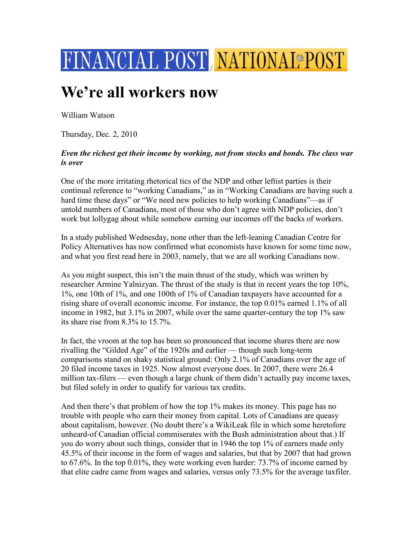

## **We're all workers now**

William Watson

Thursday, Dec. 2, 2010

## *Even the richest get their income by working, not from stocks and bonds. The class war is over*

One of the more irritating rhetorical tics of the NDP and other leftist parties is their continual reference to "working Canadians," as in "Working Canadians are having such a hard time these days" or "We need new policies to help working Canadians"—as if untold numbers of Canadians, most of those who don't agree with NDP policies, don't work but lollygag about while somehow earning our incomes off the backs of workers.

In a study published Wednesday, none other than the left-leaning Canadian Centre for Policy Alternatives has now confirmed what economists have known for some time now, and what you first read here in 2003, namely, that we are all working Canadians now.

As you might suspect, this isn't the main thrust of the study, which was written by researcher Armine Yalnizyan. The thrust of the study is that in recent years the top 10%, 1%, one 10th of 1%, and one 100th of 1% of Canadian taxpayers have accounted for a rising share of overall economic income. For instance, the top 0.01% earned 1.1% of all income in 1982, but 3.1% in 2007, while over the same quarter-century the top 1% saw its share rise from 8.3% to 15.7%.

In fact, the vroom at the top has been so pronounced that income shares there are now rivalling the "Gilded Age" of the 1920s and earlier — though such long-term comparisons stand on shaky statistical ground: Only 2.1% of Canadians over the age of 20 filed income taxes in 1925. Now almost everyone does. In 2007, there were 26.4 million tax-filers — even though a large chunk of them didn't actually pay income taxes, but filed solely in order to qualify for various tax credits.

And then there's that problem of how the top 1% makes its money. This page has no trouble with people who earn their money from capital. Lots of Canadians are queasy about capitalism, however. (No doubt there's a WikiLeak file in which some heretofore unheard-of Canadian official commiserates with the Bush administration about that.) If you do worry about such things, consider that in 1946 the top 1% of earners made only 45.5% of their income in the form of wages and salaries, but that by 2007 that had grown to 67.6%. In the top 0.01%, they were working even harder: 73.7% of income earned by that elite cadre came from wages and salaries, versus only 73.5% for the average taxfiler.